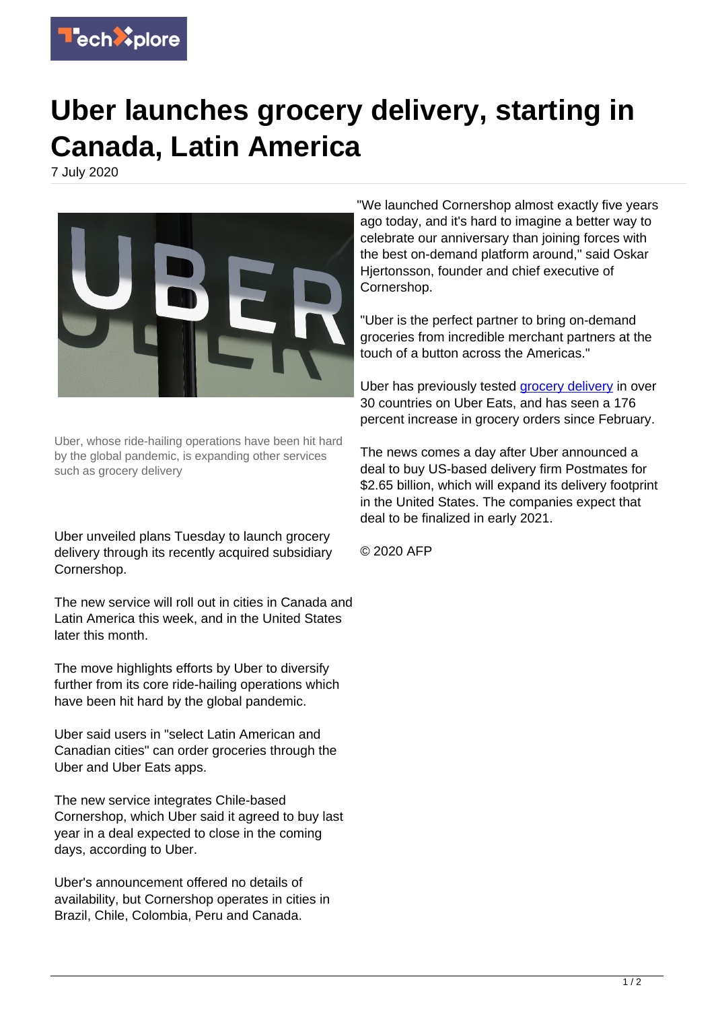

## **Uber launches grocery delivery, starting in Canada, Latin America**

7 July 2020



Uber, whose ride-hailing operations have been hit hard by the global pandemic, is expanding other services such as grocery delivery

Uber unveiled plans Tuesday to launch grocery delivery through its recently acquired subsidiary Cornershop.

The new service will roll out in cities in Canada and Latin America this week, and in the United States later this month.

The move highlights efforts by Uber to diversify further from its core ride-hailing operations which have been hit hard by the global pandemic.

Uber said users in "select Latin American and Canadian cities" can order groceries through the Uber and Uber Eats apps.

The new service integrates Chile-based Cornershop, which Uber said it agreed to buy last year in a deal expected to close in the coming days, according to Uber.

Uber's announcement offered no details of availability, but Cornershop operates in cities in Brazil, Chile, Colombia, Peru and Canada.

"We launched Cornershop almost exactly five years ago today, and it's hard to imagine a better way to celebrate our anniversary than joining forces with the best on-demand platform around," said Oskar Hiertonsson, founder and chief executive of Cornershop.

"Uber is the perfect partner to bring on-demand groceries from incredible merchant partners at the touch of a button across the Americas."

Uber has previously tested [grocery delivery](https://techxplore.com/tags/grocery+delivery/) in over 30 countries on Uber Eats, and has seen a 176 percent increase in grocery orders since February.

The news comes a day after Uber announced a deal to buy US-based delivery firm Postmates for \$2.65 billion, which will expand its delivery footprint in the United States. The companies expect that deal to be finalized in early 2021.

© 2020 AFP